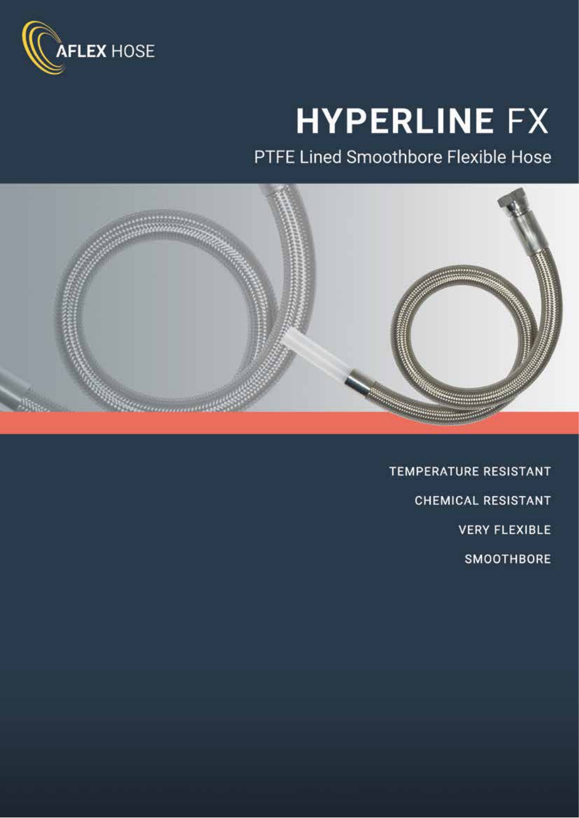

# **HYPERLINE FX**

PTFE Lined Smoothbore Flexible Hose



**TEMPERATURE RESISTANT CHEMICAL RESISTANT VERY FLEXIBLE SMOOTHBORE**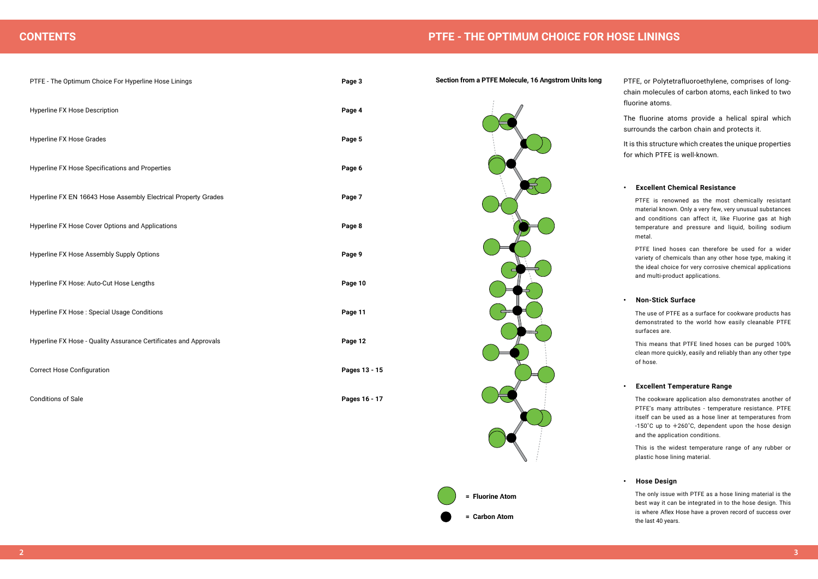| PTFE - The Optimum Choice For Hyperline Hose Linings             | Page 3        |
|------------------------------------------------------------------|---------------|
| <b>Hyperline FX Hose Description</b>                             | Page 4        |
| <b>Hyperline FX Hose Grades</b>                                  | Page 5        |
| Hyperline FX Hose Specifications and Properties                  | Page 6        |
| Hyperline FX EN 16643 Hose Assembly Electrical Property Grades   | Page 7        |
| Hyperline FX Hose Cover Options and Applications                 | Page 8        |
| Hyperline FX Hose Assembly Supply Options                        | Page 9        |
| Hyperline FX Hose: Auto-Cut Hose Lengths                         | Page 10       |
| Hyperline FX Hose : Special Usage Conditions                     | Page 11       |
| Hyperline FX Hose - Quality Assurance Certificates and Approvals | Page 12       |
| <b>Correct Hose Configuration</b>                                | Pages 13 - 15 |
| <b>Conditions of Sale</b>                                        | Pages 16 - 17 |

PTFE, or Polytetrafluoroethylene, comprises of longchain molecules of carbon atoms, each linked to two fluorine atoms.

The fluorine atoms provide a helical spiral which surrounds the carbon chain and protects it.

It is this structure which creates the unique properties for which PTFE is well-known.

# **• Excellent Chemical Resistance**

PTFE is renowned as the most chemically resistant material known. Only a very few, very unusual substances and conditions can affect it, like Fluorine gas at high temperature and pressure and liquid, boiling sodium metal.

PTFE lined hoses can therefore be used for a wider variety of chemicals than any other hose type, making it the ideal choice for very corrosive chemical applications and multi-product applications.

# **• Non-Stick Surface**



The use of PTFE as a surface for cookware products has demonstrated to the world how easily cleanable PTFE surfaces are.

This means that PTFE lined hoses can be purged 100% clean more quickly, easily and reliably than any other type of hose.

# **• Excellent Temperature Range**

The cookware application also demonstrates another of PTFE's many attributes - temperature resistance. PTFE itself can be used as a hose liner at temperatures from -150˚C up to +260˚C, dependent upon the hose design and the application conditions.

This is the widest temperature range of any rubber or plastic hose lining material.

# **• Hose Design**

The only issue with PTFE as a hose lining material is the best way it can be integrated in to the hose design. This is where Aflex Hose have a proven record of success over the last 40 years.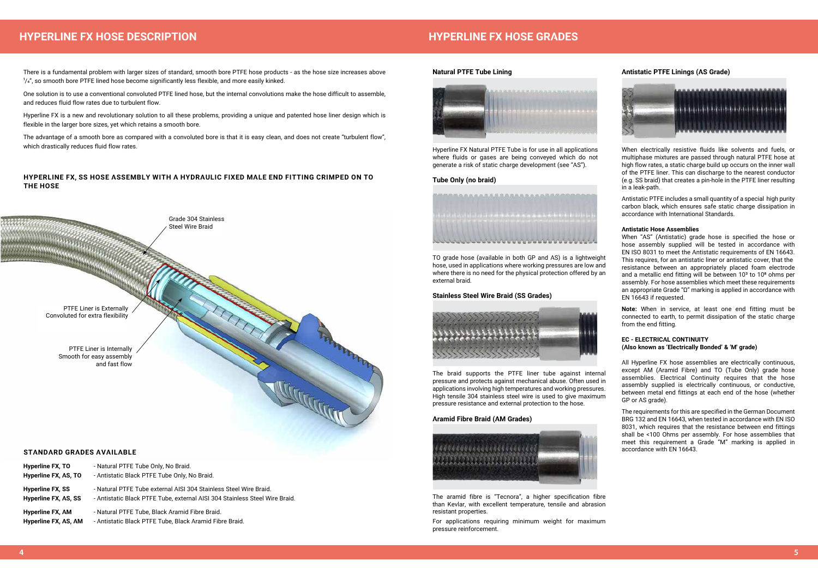# **HYPERLINE FX, SS HOSE ASSEMBLY WITH A HYDRAULIC FIXED MALE END FITTING CRIMPED ON TO THE HOSE**

There is a fundamental problem with larger sizes of standard, smooth bore PTFE hose products - as the hose size increases above  $1/4$ ", so smooth bore PTFE lined hose become significantly less flexible, and more easily kinked.



One solution is to use a conventional convoluted PTFE lined hose, but the internal convolutions make the hose difficult to assemble, and reduces fluid flow rates due to turbulent flow.

Hyperline FX is a new and revolutionary solution to all these problems, providing a unique and patented hose liner design which is flexible in the larger bore sizes, yet which retains a smooth bore.

The advantage of a smooth bore as compared with a convoluted bore is that it is easy clean, and does not create "turbulent flow", which drastically reduces fluid flow rates.

# **HYPERLINE FX HOSE DESCRIPTION HYPERLINE FX HOSE GRADES**

# **STANDARD GRADES AVAILABLE**

| <b>Hyperline FX, TO</b>                  | - Natural PTFE Tube Only, No Braid.                                                                       |
|------------------------------------------|-----------------------------------------------------------------------------------------------------------|
| Hyperline FX, AS, TO                     | - Antistatic Black PTFE Tube Only, No Braid.                                                              |
| <b>Hyperline FX, SS</b>                  | - Natural PTFE Tube external AISI 304 Stainless Steel Wire Braid.                                         |
| Hyperline FX, AS, SS                     | - Antistatic Black PTFE Tube, external AISI 304 Stainless Steel Wire Braid.                               |
| Hyperline FX, AM<br>Hyperline FX, AS, AM | - Natural PTFE Tube, Black Aramid Fibre Braid.<br>- Antistatic Black PTFE Tube, Black Aramid Fibre Braid. |
|                                          |                                                                                                           |

# **Natural PTFE Tube Lining**



Hyperline FX Natural PTFE Tube is for use in all applications where fluids or gases are being conveyed which do not generate a risk of static charge development (see "AS").

# **Tube Only (no braid)**



TO grade hose (available in both GP and AS) is a lightweight hose, used in applications where working pressures are low and where there is no need for the physical protection offered by an external braid.

# **Stainless Steel Wire Braid (SS Grades)**



The braid supports the PTFE liner tube against internal pressure and protects against mechanical abuse. Often used in applications involving high temperatures and working pressures. High tensile 304 stainless steel wire is used to give maximum pressure resistance and external protection to the hose.

# **Aramid Fibre Braid (AM Grades)**



The aramid fibre is "Tecnora", a higher specification fibre than Kevlar, with excellent temperature, tensile and abrasion resistant properties.

For applications requiring minimum weight for maximum pressure reinforcement.

# **Antistatic PTFE Linings (AS Grade)**



When electrically resistive fluids like solvents and fuels, or multiphase mixtures are passed through natural PTFE hose at high flow rates, a static charge build up occurs on the inner wall of the PTFE liner. This can discharge to the nearest conductor (e.g. SS braid) that creates a pin-hole in the PTFE liner resulting in a leak-path.

Antistatic PTFE includes a small quantity of a special high purity carbon black, which ensures safe static charge dissipation in accordance with International Standards.

# **Antistatic Hose Assemblies**

When "AS" (Antistatic) grade hose is specified the hose or hose assembly supplied will be tested in accordance with EN ISO 8031 to meet the Antistatic requirements of EN 16643. This requires, for an antistatic liner or antistatic cover, that the resistance between an appropriately placed foam electrode and a metallic end fitting will be between  $10<sup>3</sup>$  to  $10<sup>8</sup>$  ohms per assembly. For hose assemblies which meet these requirements an appropriate Grade "Ω" marking is applied in accordance with EN 16643 if requested.

**Note:** When in service, at least one end fitting must be connected to earth, to permit dissipation of the static charge from the end fitting.

# **EC - ELECTRICAL CONTINUITY (Also known as 'Electrically Bonded' & 'M' grade)**

All Hyperline FX hose assemblies are electrically continuous, except AM (Aramid Fibre) and TO (Tube Only) grade hose assemblies. Electrical Continuity requires that the hose assembly supplied is electrically continuous, or conductive, between metal end fittings at each end of the hose (whether GP or AS grade).

The requirements for this are specified in the German Document BRG 132 and EN 16643, when tested in accordance with EN ISO 8031, which requires that the resistance between end fittings shall be <100 Ohms per assembly. For hose assemblies that meet this requirement a Grade "M" marking is applied in accordance with EN 16643.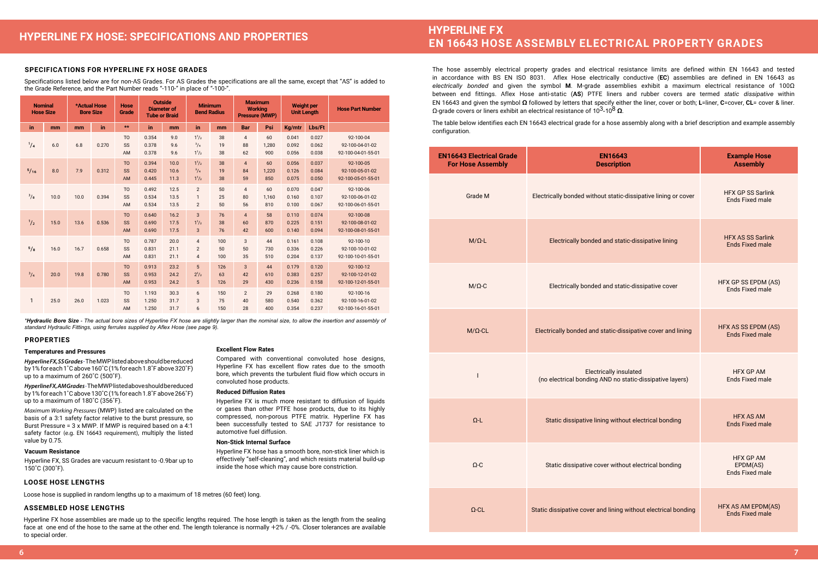# **SPECIFICATIONS FOR HYPERLINE FX HOSE GRADES**

Specifications listed below are for non-AS Grades. For AS Grades the specifications are all the same, except that "AS" is added to the Grade Reference, and the Part Number reads "-110-" in place of "-100-".

*\*Hydraulic Bore Size - The actual bore sizes of Hyperline FX hose are slightly larger than the nominal size, to allow the insertion and assembly of standard Hydraulic Fittings, using ferrules supplied by Aflex Hose (see page 9).*

# **PROPERTIES**

# **Temperatures and Pressures**

*Hyperline FX, SS Grades*- The MWP listed above should be reduced by 1% for each 1˚C above 160˚C (1% for each 1.8˚F above 320˚F) up to a maximum of 260˚C (500˚F).

*Hyperline FX, AM Grades*- The MWP listed above should be reduced by 1% for each 1˚C above 130˚C (1% for each 1.8˚F above 266˚F) up to a maximum of 180˚C (356˚F).

*Maximum Working Pressures* (MWP) listed are calculated on the basis of a 3:1 safety factor relative to the burst pressure, so Burst Pressure = 3 x MWP. If MWP is required based on a 4:1 safety factor (e.g. EN 16643 requirement), multiply the listed value by 0.75.

# **Vacuum Resistance**

Hyperline FX, SS Grades are vacuum resistant to -0.9bar up to 150˚C (300˚F).

**Excellent Flow Rates**

Compared with conventional convoluted hose designs, Hyperline FX has excellent flow rates due to the smooth bore, which prevents the turbulent fluid flow which occurs in

convoluted hose products. **Reduced Diffusion Rates**

Hyperline FX is much more resistant to diffusion of liquids or gases than other PTFE hose products, due to its highly compressed, non-porous PTFE matrix. Hyperline FX has been successfully tested to SAE J1737 for resistance to

automotive fuel diffusion. **Non-Stick Internal Surface**

Hyperline FX hose has a smooth bore, non-stick liner which is effectively "self-cleaning", and which resists material build-up

inside the hose which may cause bore constriction.

# **LOOSE HOSE LENGTHS**

Loose hose is supplied in random lengths up to a maximum of 18 metres (60 feet) long.

# **ASSEMBLED HOSE LENGTHS**

Hyperline FX hose assemblies are made up to the specific lengths required. The hose length is taken as the length from the sealing face at one end of the hose to the same at the other end. The length tolerance is normally +2% / -0%. Closer tolerances are available to special order.

# **EN 16643 HOSE ASSEMBLY ELECTRICAL PROPERTY GRADES**

| <b>EN16643 Electrical Grade</b><br><b>For Hose Assembly</b> | <b>EN16643</b><br><b>Description</b>                                                      | <b>Example Hose</b><br><b>Assembly</b>                 |
|-------------------------------------------------------------|-------------------------------------------------------------------------------------------|--------------------------------------------------------|
| <b>Grade M</b>                                              | Electrically bonded without static-dissipative lining or cover                            | <b>HFX GP SS Sarlink</b><br><b>Ends Fixed male</b>     |
| $M/\Omega$ -L                                               | Electrically bonded and static-dissipative lining                                         | <b>HFX AS SS Sarlink</b><br><b>Ends Fixed male</b>     |
| $M/\Omega$ -C                                               | Electrically bonded and static-dissipative cover                                          | HFX GP SS EPDM (AS)<br><b>Ends Fixed male</b>          |
| $M/\Omega$ -CL                                              | Electrically bonded and static-dissipative cover and lining                               | HFX AS SS EPDM (AS)<br><b>Ends Fixed male</b>          |
|                                                             | <b>Electrically insulated</b><br>(no electrical bonding AND no static-dissipative layers) | <b>HFX GP AM</b><br><b>Ends Fixed male</b>             |
| $\Omega$ -L                                                 | Static dissipative lining without electrical bonding                                      | <b>HFX AS AM</b><br><b>Ends Fixed male</b>             |
| $\Omega$ -C                                                 | Static dissipative cover without electrical bonding                                       | <b>HFX GP AM</b><br>EPDM(AS)<br><b>Ends Fixed male</b> |
| $\Omega$ -CL                                                | Static dissipative cover and lining without electrical bonding                            | HFX AS AM EPDM(AS)<br><b>Ends Fixed male</b>           |

The hose assembly electrical property grades and electrical resistance limits are defined within EN 16643 and tested in accordance with BS EN ISO 8031. Aflex Hose electrically conductive (**EC**) assemblies are defined in EN 16643 as *electrically bonded* and given the symbol **M**. M-grade assemblies exhibit a maximum electrical resistance of 100Ω between end fittings. Aflex Hose anti-static (**AS**) PTFE liners and rubber covers are termed *static dissipative* within EN 16643 and given the symbol **Ω** followed by letters that specify either the liner, cover or both; **L**=liner, **C**=cover, **CL**= cover & liner. Ω-grade covers or liners exhibit an electrical resistance of 103-108 **Ω**.

The table below identifies each EN 16643 electrical grade for a hose assembly along with a brief description and example assembly configuration.

| <b>Nominal</b><br><b>Hose Size</b> | <b>Outside</b><br><b>Maximum</b><br>*Actual Hose<br><b>Hose</b><br><b>Minimum</b><br><b>Working</b><br><b>Diameter of</b><br><b>Bore Size</b><br><b>Bend Radius</b><br>Grade<br><b>Pressure (MWP)</b><br><b>Tube or Braid</b> |      | <b>Weight per</b><br><b>Unit Length</b> |                                   | <b>Hose Part Number</b> |                      |                                                    |                  |                            |                    |                         |                         |                                                    |
|------------------------------------|-------------------------------------------------------------------------------------------------------------------------------------------------------------------------------------------------------------------------------|------|-----------------------------------------|-----------------------------------|-------------------------|----------------------|----------------------------------------------------|------------------|----------------------------|--------------------|-------------------------|-------------------------|----------------------------------------------------|
| in.                                | mm                                                                                                                                                                                                                            | mm   | in                                      | $**$                              | in                      | mm                   | in                                                 | mm               | <b>Bar</b>                 | Psi                | Kg/mtr                  | Lbs/Ft                  |                                                    |
| $^{1}/_{4}$                        | 6.0                                                                                                                                                                                                                           | 6.8  | 0.270                                   | T <sub>0</sub><br>SS<br>AM        | 0.354<br>0.378<br>0.378 | 9.0<br>9.6<br>9.6    | $1^{1}/2$<br>$^{3}/_{4}$<br>$1^{1}/2$              | 38<br>19<br>38   | $\overline{4}$<br>88<br>62 | 60<br>1,280<br>900 | 0.041<br>0.092<br>0.056 | 0.027<br>0.062<br>0.038 | 92-100-04<br>92-100-04-01-02<br>92-100-04-01-55-01 |
| 5/16                               | 8.0                                                                                                                                                                                                                           | 7.9  | 0.312                                   | T <sub>O</sub><br>SS<br><b>AM</b> | 0.394<br>0.420<br>0.445 | 10.0<br>10.6<br>11.3 | $1^{1}/2$<br>$^{3}/_{4}$<br>$1^{1}/2$              | 38<br>19<br>38   | $\overline{4}$<br>84<br>59 | 60<br>1,220<br>850 | 0.056<br>0.126<br>0.075 | 0.037<br>0.084<br>0.050 | 92-100-05<br>92-100-05-01-02<br>92-100-05-01-55-01 |
| $\frac{3}{8}$                      | 10.0                                                                                                                                                                                                                          | 10.0 | 0.394                                   | T <sub>0</sub><br>SS<br>AM        | 0.492<br>0.534<br>0.534 | 12.5<br>13.5<br>13.5 | $\overline{2}$<br>1<br>$\overline{2}$              | 50<br>25<br>50   | $\overline{4}$<br>80<br>56 | 60<br>1,160<br>810 | 0.070<br>0.160<br>0.100 | 0.047<br>0.107<br>0.067 | 92-100-06<br>92-100-06-01-02<br>92-100-06-01-55-01 |
| $\frac{1}{2}$                      | 15.0                                                                                                                                                                                                                          | 13.6 | 0.536                                   | T <sub>O</sub><br>SS<br>AM        | 0.640<br>0.690<br>0.690 | 16.2<br>17.5<br>17.5 | 3<br>$1^{1}/2$<br>3                                | 76<br>38<br>76   | $\overline{4}$<br>60<br>42 | 58<br>870<br>600   | 0.110<br>0.225<br>0.140 | 0.074<br>0.151<br>0.094 | 92-100-08<br>92-100-08-01-02<br>92-100-08-01-55-01 |
| 5/8                                | 16.0                                                                                                                                                                                                                          | 16.7 | 0.658                                   | T <sub>O</sub><br>SS<br>AM        | 0.787<br>0.831<br>0.831 | 20.0<br>21.1<br>21.1 | $\overline{4}$<br>$\overline{2}$<br>$\overline{4}$ | 100<br>50<br>100 | 3<br>50<br>35              | 44<br>730<br>510   | 0.161<br>0.336<br>0.204 | 0.108<br>0.226<br>0.137 | 92-100-10<br>92-100-10-01-02<br>92-100-10-01-55-01 |
| $^{3}/_{4}$                        | 20.0                                                                                                                                                                                                                          | 19.8 | 0.780                                   | T <sub>O</sub><br>SS<br>AM        | 0.913<br>0.953<br>0.953 | 23.2<br>24.2<br>24.2 | 5<br>$2^{1}/2$<br>5                                | 126<br>63<br>126 | $\overline{3}$<br>42<br>29 | 44<br>610<br>430   | 0.179<br>0.383<br>0.236 | 0.120<br>0.257<br>0.158 | 92-100-12<br>92-100-12-01-02<br>92-100-12-01-55-01 |
| 1                                  | 25.0                                                                                                                                                                                                                          | 26.0 | 1.023                                   | T <sub>0</sub><br>SS<br>AM        | 1.193<br>1.250<br>1.250 | 30.3<br>31.7<br>31.7 | 6<br>3<br>6                                        | 150<br>75<br>150 | $\overline{2}$<br>40<br>28 | 29<br>580<br>400   | 0.268<br>0.540<br>0.354 | 0.180<br>0.362<br>0.237 | 92-100-16<br>92-100-16-01-02<br>92-100-16-01-55-01 |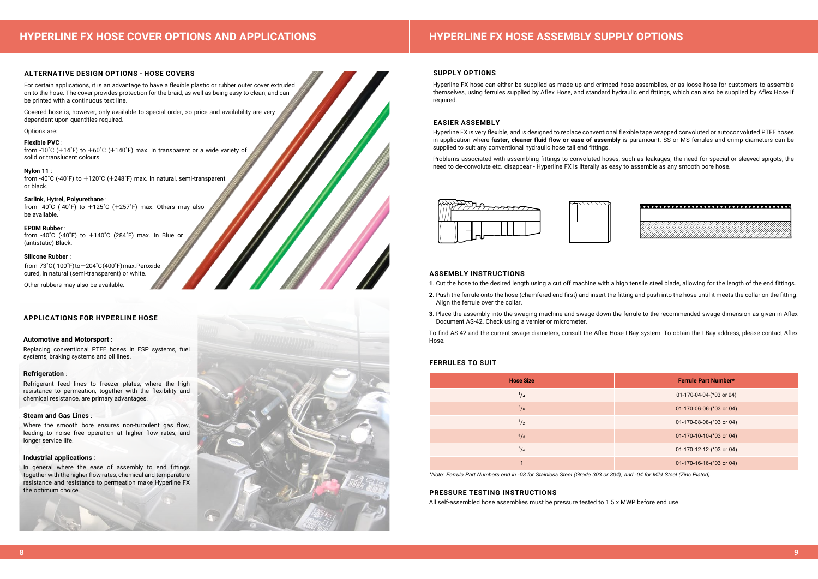# **SUPPLY OPTIONS**

Hyperline FX hose can either be supplied as made up and crimped hose assemblies, or as loose hose for customers to assemble themselves, using ferrules supplied by Aflex Hose, and standard hydraulic end fittings, which can also be supplied by Aflex Hose if required.

# **EASIER ASSEMBLY**

Hyperline FX is very flexible, and is designed to replace conventional flexible tape wrapped convoluted or autoconvoluted PTFE hoses in application where **faster, cleaner fluid flow or ease of assembly** is paramount. SS or MS ferrules and crimp diameters can be supplied to suit any conventional hydraulic hose tail end fittings.

Problems associated with assembling fittings to convoluted hoses, such as leakages, the need for special or sleeved spigots, the need to de-convolute etc. disappear - Hyperline FX is literally as easy to assemble as any smooth bore hose.



# **ASSEMBLY INSTRUCTIONS**

**1**. Cut the hose to the desired length using a cut off machine with a high tensile steel blade, allowing for the length of the end fittings. **2**. Push the ferrule onto the hose (chamfered end first) and insert the fitting and push into the hose until it meets the collar on the fitting.

- Align the ferrule over the collar.
- **3**. Place the assembly into the swaging machine and swage down the ferrule to the recommended swage dimension as given in Aflex Document AS-42. Check using a vernier or micrometer.

from  $-40^{\circ}$ C  $(-40^{\circ}$ F) to  $+125^{\circ}$ C  $(+257^{\circ}$ F) max. Others may also be available.

> To find AS-42 and the current swage diameters, consult the Aflex Hose I-Bay system. To obtain the I-Bay address, please contact Aflex Hose.

# **PRESSURE TESTING INSTRUCTIONS**

All self-assembled hose assemblies must be pressure tested to 1.5 x MWP before end use.

# **FERRULES TO SUIT**

*\*Note: Ferrule Part Numbers end in -03 for Stainless Steel (Grade 303 or 304), and -04 for Mild Steel (Zinc Plated).*

# **HYPERLINE FX HOSE ASSEMBLY SUPPLY OPTIONS**

| Ferrule Part Number*       |
|----------------------------|
| 01-170-04-04-(*03 or 04)   |
| 01-170-06-06-(*03 or 04)   |
| 01-170-08-08-(*03 or 04)   |
| 01-170-10-10-(*03 or 04)   |
| 01-170-12-12-(*03 or 04)   |
| $01-170-16-16-(03)$ or 04) |
|                            |



# **ALTERNATIVE DESIGN OPTIONS - HOSE COVERS**

For certain applications, it is an advantage to have a flexible plastic or rubber outer cover extruded on to the hose. The cover provides protection for the braid, as well as being easy to clean, and can be printed with a continuous text line.

Covered hose is, however, only available to special order, so price and availability are very dependent upon quantities required.

# Options are:

# **Flexible PVC** :

from -10˚C (+14˚F) to +60˚C (+140˚F) max. In transparent or a wide variety of solid or translucent colours.

# **Nylon 11** :

from -40˚C (-40˚F) to +120˚C (+248˚F) max. In natural, semi-transparent or black.

# **Sarlink, Hytrel, Polyurethane** :

# **EPDM Rubber** :

from -40˚C (-40˚F) to +140˚C (284˚F) max. In Blue or (antistatic) Black.

# **Silicone Rubber** :

 from -73˚C (-100˚F) to +204˚C (400˚F) max. Peroxide cured, in natural (semi-transparent) or white.

Other rubbers may also be available.

# **APPLICATIONS FOR HYPERLINE HOSE**

# **Automotive and Motorsport** :

Replacing conventional PTFE hoses in ESP systems, fuel systems, braking systems and oil lines.

# **Refrigeration** :

Refrigerant feed lines to freezer plates, where the high resistance to permeation, together with the flexibility and chemical resistance, are primary advantages.

# **Steam and Gas Lines** :

Where the smooth bore ensures non-turbulent gas flow, leading to noise free operation at higher flow rates, and longer service life.

# **Industrial applications** :

In general where the ease of assembly to end fittings together with the higher flow rates, chemical and temperature resistance and resistance to permeation make Hyperline FX the optimum choice.

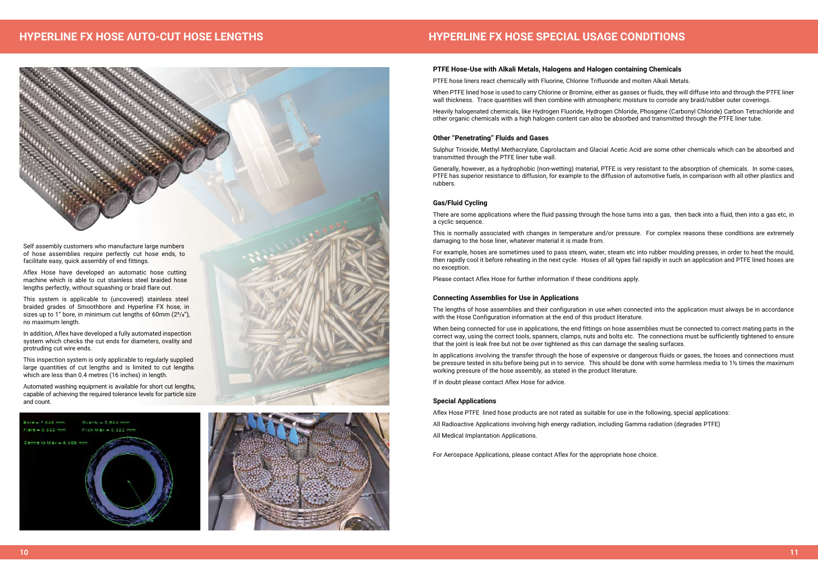# **PTFE Hose-Use with Alkali Metals, Halogens and Halogen containing Chemicals**

PTFE hose liners react chemically with Fluorine, Chlorine Trifluoride and molten Alkali Metals.

When PTFE lined hose is used to carry Chlorine or Bromine, either as gasses or fluids, they will diffuse into and through the PTFE liner wall thickness. Trace quantities will then combine with atmospheric moisture to corrode any braid/rubber outer coverings.

Heavily halogenated chemicals, like Hydrogen Fluoride, Hydrogen Chloride, Phosgene (Carbonyl Chloride) Carbon Tetrachloride and other organic chemicals with a high halogen content can also be absorbed and transmitted through the PTFE liner tube.

# **Other "Penetrating" Fluids and Gases**

Sulphur Trioxide, Methyl Methacrylate, Caprolactam and Glacial Acetic Acid are some other chemicals which can be absorbed and transmitted through the PTFE liner tube wall.

Generally, however, as a hydrophobic (non-wetting) material, PTFE is very resistant to the absorption of chemicals. In some cases, PTFE has superior resistance to diffusion, for example to the diffusion of automotive fuels, in comparison with all other plastics and rubbers.

# **Gas/Fluid Cycling**

There are some applications where the fluid passing through the hose turns into a gas, then back into a fluid, then into a gas etc, in a cyclic sequence.

This is normally associated with changes in temperature and/or pressure. For complex reasons these conditions are extremely damaging to the hose liner, whatever material it is made from.

For example, hoses are sometimes used to pass steam, water, steam etc into rubber moulding presses, in order to heat the mould, then rapidly cool it before reheating in the next cycle. Hoses of all types fail rapidly in such an application and PTFE lined hoses are no exception.

Please contact Aflex Hose for further information if these conditions apply.

# **Connecting Assemblies for Use in Applications**

The lengths of hose assemblies and their configuration in use when connected into the application must always be in accordance with the Hose Configuration information at the end of this product literature.

When being connected for use in applications, the end fittings on hose assemblies must be connected to correct mating parts in the correct way, using the correct tools, spanners, clamps, nuts and bolts etc. The connections must be sufficiently tightened to ensure that the joint is leak free but not be over tightened as this can damage the sealing surfaces.

In applications involving the transfer through the hose of expensive or dangerous fluids or gases, the hoses and connections must be pressure tested in situ before being put in to service. This should be done with some harmless media to 1½ times the maximum working pressure of the hose assembly, as stated in the product literature.

If in doubt please contact Aflex Hose for advice.

# **Special Applications**

Aflex Hose PTFE lined hose products are not rated as suitable for use in the following, special applications: All Radioactive Applications involving high energy radiation, including Gamma radiation (degrades PTFE) All Medical Implantation Applications.

For Aerospace Applications, please contact Aflex for the appropriate hose choice.

# **HYPERLINE FX HOSE SPECIAL USAGE CONDITIONS**

# **HYPERLINE FX HOSE AUTO-CUT HOSE LENGTHS**



Self assembly customers who manufacture large numbers of hose assemblies require perfectly cut hose ends, to facilitate easy, quick assembly of end fittings.

Aflex Hose have developed an automatic hose cutting machine which is able to cut stainless steel braided hose lengths perfectly, without squashing or braid flare out.

This system is applicable to (uncovered) stainless steel braided grades of Smoothbore and Hyperline FX hose, in sizes up to 1" bore, in minimum cut lengths of 60mm  $(2<sup>3</sup>/s")$ , no maximum length.

In addition, Aflex have developed a fully automated inspection system which checks the cut ends for diameters, ovality and protruding cut wire ends.

This inspection system is only applicable to regularly supplied large quantities of cut lengths and is limited to cut lengths which are less than 0.4 metres (16 inches) in length.

Automated washing equipment is available for short cut lengths, capable of achieving the required tolerance levels for particle size and count.



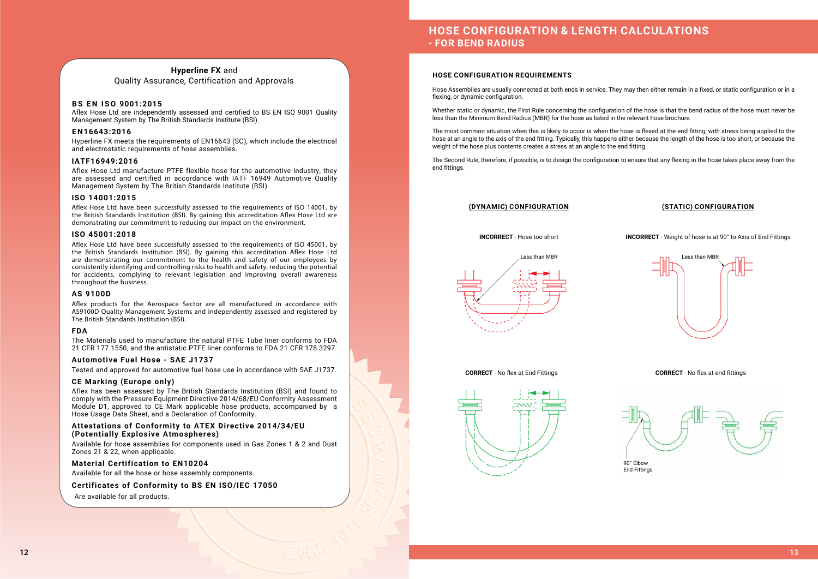# **HOSE CONFIGURATION & LENGTH CALCULATIONS - FOR BEND RADIUS**

# **HOSE CONFIGURATION REQUIREMENTS**

Hose Assemblies are usually connected at both ends in service. They may then either remain in a fixed, or static configuration or in a flexing, or dynamic configuration.

Whether static or dynamic, the First Rule concerning the configuration of the hose is that the bend radius of the hose must never be less than the Minimum Bend Radius (MBR) for the hose as listed in the relevant hose brochure.

The most common situation when this is likely to occur is when the hose is flexed at the end fitting, with stress being applied to the hose at an angle to the axis of the end fitting. Typically, this happens either because the length of the hose is too short, or because the weight of the hose plus contents creates a stress at an angle to the end fitting.

Hyperline FX meets the requirements of EN16643 (SC), which include the electrical and electrostatic requirements of hose assemblies.

> The Second Rule, therefore, if possible, is to design the configuration to ensure that any flexing in the hose takes place away from the end fittings.

# **(DYNAMIC) CONFIGURATION (STATIC) CONFIGURATION**





# **CORRECT** - No flex at End Fittings



**INCORRECT** - Weight of hose is at 90° to Axis of End Fittings



**CORRECT** - No flex at end fittings



# **Hyperline FX** and Quality Assurance, Certification and Approvals

# **BS EN ISO 9001:2015**

Aflex Hose Ltd are independently assessed and certified to BS EN ISO 9001 Quality Management System by The British Standards Institute (BSI).

# **EN16643:2016**

# **IATF16949:2016**

Aflex Hose Ltd manufacture PTFE flexible hose for the automotive industry, they are assessed and certified in accordance with IATF 16949 Automotive Quality Management System by The British Standards Institute (BSI).

# **ISO 14001:2015**

Aflex Hose Ltd have been successfully assessed to the requirements of ISO 14001, by the British Standards Institution (BSI). By gaining this accreditation Aflex Hose Ltd are demonstrating our commitment to reducing our impact on the environment.

# **ISO 45001:2018**

Aflex Hose Ltd have been successfully assessed to the requirements of ISO 45001, by the British Standards Institution (BSI). By gaining this accreditation Aflex Hose Ltd are demonstrating our commitment to the health and safety of our employees by consistently identifying and controlling risks to health and safety, reducing the potential for accidents, complying to relevant legislation and improving overall awareness throughout the business.

# **AS 9100D**

Aflex products for the Aerospace Sector are all manufactured in accordance with AS9100D Quality Management Systems and independently assessed and registered by The British Standards Institution (BSI).

# **FDA**

The Materials used to manufacture the natural PTFE Tube liner conforms to FDA 21 CFR 177.1550, and the antistatic PTFE liner conforms to FDA 21 CFR 178.3297.

# **Automotive Fuel Hose - SAE J1737**

Tested and approved for automotive fuel hose use in accordance with SAE J1737.

# **CE Marking (Europe only)**

Aflex has been assessed by The British Standards Institution (BSI) and found to comply with the Pressure Equipment Directive 2014/68/EU Conformity Assessment Module D1, approved to CE Mark applicable hose products, accompanied by a Hose Usage Data Sheet, and a Declaration of Conformity.

# **Attestations of Conformity to ATEX Directive 2014/34/EU (Potentially Explosive Atmospheres)**

Available for hose assemblies for components used in Gas Zones 1 & 2 and Dust Zones 21 & 22, when applicable.

# **Material Certification to EN10204**

Available for all the hose or hose assembly components.

# **Certificates of Conformity to BS EN ISO/IEC 17050**

Are available for all products.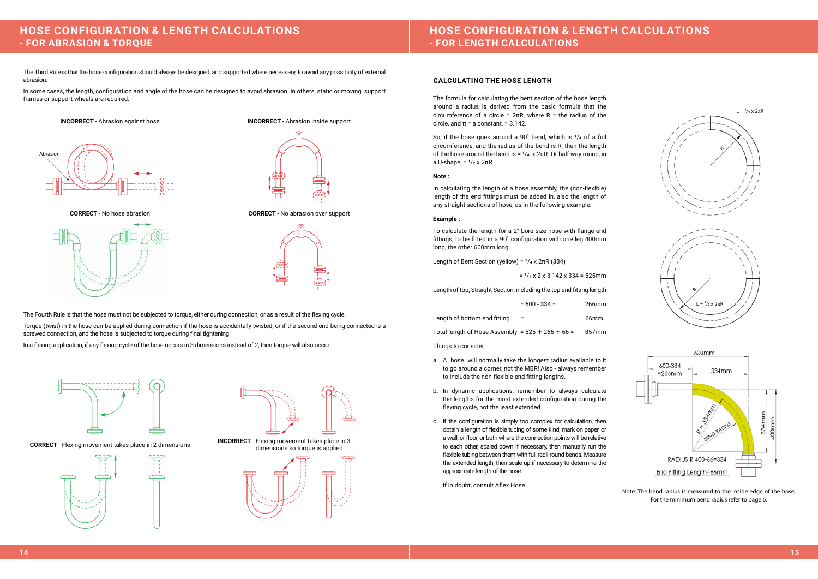# **HOSE CONFIGURATION & LENGTH CALCULATIONS - FOR LENGTH CALCULATIONS**

The formula for calculating the bent section of the hose length around a radius is derived from the basic formula that the circumference of a circle =  $2\pi R$ , where R = the radius of the circle, and  $\pi$  = a constant, = 3.142.

So, if the hose goes around a 90 $^{\circ}$  bend, which is  $1/4$  of a full circumference, and the radius of the bend is R, then the length of the hose around the bend is =  $1/4 \times 2\pi R$ . Or half way round, in a U-shape,  $=$   $\frac{1}{2}$  x  $2\pi R$ .

# **CALCULATING THE HOSE LENGTH**

# **Note :**

In calculating the length of a hose assembly, the (non-flexible) length of the end fittings must be added in, also the length of any straight sections of hose, as in the following example:

# **Example :**

To calculate the length for a 2" bore size hose with flange end fittings, to be fitted in a 90˚ configuration with one leg 400mm long, the other 600mm long.

Length of Bent Section (yellow) =  $1/4 \times 2\pi R$  (334)

 $=$   $\frac{1}{4}$  x 2 x 3.142 x 334 = 525mm

Length of top, Straight Section, including the top end fitting length

| $= 600 - 334 =$ | 266mm |
|-----------------|-------|
|                 |       |

| Length of bottom end fitting | 66 <sub>mm</sub> |
|------------------------------|------------------|
|                              |                  |

Total length of Hose Assembly =  $525 + 266 + 66 = 857$ mm

Things to consider

- a. A hose will normally take the longest radius available to it to go around a corner, not the MBR! Also - always remember to include the non-flexible end fitting lengths.
- b. In dynamic applications, remember to always calculate the lengths for the most extended configuration during the flexing cycle, not the least extended.
- c. If the configuration is simply too complex for calculation, then obtain a length of flexible tubing of some kind, mark on paper, or a wall, or floor, or both where the connection points will be relative to each other, scaled down if necessary, then manually run the flexible tubing between them with full radii round bends. Measure the extended length, then scale up if necessary to determine the approximate length of the hose.

If in doubt, consult Aflex Hose.



# **HOSE CONFIGURATION & LENGTH CALCULATIONS - FOR ABRASION & TORQUE**

The Third Rule is that the hose configuration should always be designed, and supported where necessary, to avoid any possibility of external abrasion.

In some cases, the length, configuration and angle of the hose can be designed to avoid abrasion. In others, static or moving support frames or support wheels are required.



**INCORRECT** - Abrasion inside support



**CORRECT** - No hose abrasion





**CORRECT** - No abrasion over support







The Fourth Rule is that the hose must not be subjected to torque, either during connection, or as a result of the flexing cycle.

Torque (twist) in the hose can be applied during connection if the hose is accidentally twisted, or if the second end being connected is a screwed connection, and the hose is subjected to torque during final tightening.

In a flexing application, if any flexing cycle of the hose occurs in 3 dimensions instead of 2, then torque will also occur:





Note: The bend radius is measured to the inside edge of the hose, For the minimum bend radius refer to page 6.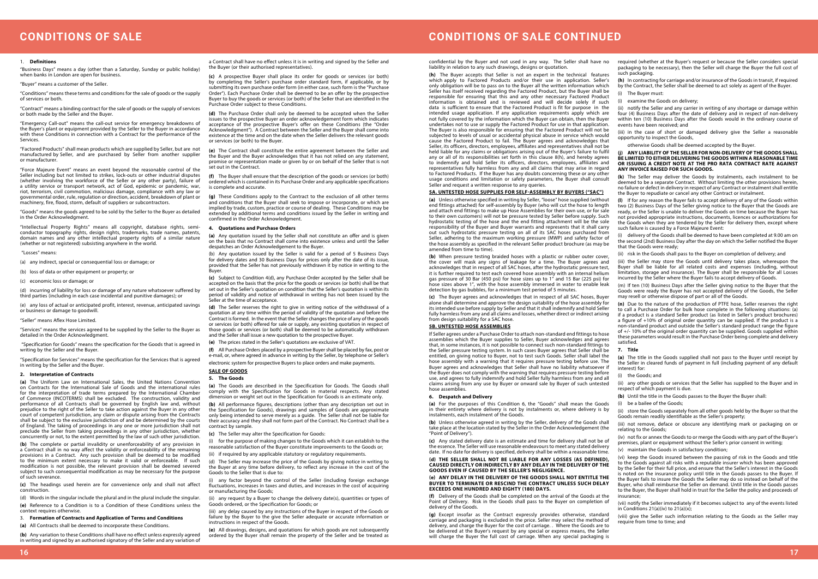# **CONDITIONS OF SALE CONTINUED**

"Business Days" means a day (other than a Saturday, Sunday or public holiday) when banks in London are open for business.

# **CONDITIONS OF SALE**

### 1. **Definitions**

"Buyer" means a customer of the Seller.

"Conditions" means these terms and conditions for the sale of goods or the supply of services or both.

"Contract" means a binding contract for the sale of goods or the supply of services or both made by the Seller and the Buyer.

"Emergency Call-out" means the call-out service for emergency breakdowns of the Buyer's plant or equipment provided by the Seller to the Buyer in accordance with these Conditions in connection with a Contract for the performance of the Services.

"Factored Products" shall mean products which are supplied by Seller, but are not manufactured by Seller, and are purchased by Seller from another supplier or manufacturer.

"Force Majeure Event" means an event beyond the reasonable control of the Seller including but not limited to strikes, lock-outs or other industrial disputes (whether involving the workforce of the Seller or any other party), failure of a utility service or transport network, act of God, epidemic or pandemic, war, riot, terrorism, civil commotion, malicious damage, compliance with any law or governmental order, rule, regulation or direction, accident, breakdown of plant or machinery, fire, flood, storm, default of suppliers or subcontractors.

"Goods" means the goods agreed to be sold by the Seller to the Buyer as detailed in the Order Acknowledgment.

"Intellectual Property Rights" means all copyright, database rights, semiconductor topography rights, design rights, trademarks, trade names, patents, domain names and any other intellectual property rights of a similar nature (whether or not registered) subsisting anywhere in the world.

### "Losses" means:

(a) any indirect, special or consequential loss or damage; or

(b) loss of data or other equipment or property; or

(c) economic loss or damage; or

(d) incurring of liability for loss or damage of any nature whatsoever suffered by third parties (including in each case incidental and punitive damages); or

(e) any loss of actual or anticipated profit, interest, revenue, anticipated savings or business or damage to goodwill.

**(b)** Any variation to these Conditions shall have no effect unless expressly agreed in writing and signed by an authorised signatory of the Seller and any variation of

"Seller" means Aflex Hose Limited.

"Services" means the services agreed to be supplied by the Seller to the Buyer as detailed in the Order Acknowledgment.

 "Specification for Goods" means the specification for the Goods that is agreed in writing by the Seller and the Buyer.

"Specification for Services" means the specification for the Services that is agreed in writing by the Seller and the Buyer.

### **2. Interpretation of Contracts**

**(a)** The Uniform Law on International Sales, the United Nations Convention on Contracts for the International Sale of Goods and the international rules for the interpretation of trade terms prepared by the International Chamber of Commerce (INCOTERMS) shall be excluded. The construction, validity and performance of all Contracts shall be governed by English law and, without prejudice to the right of the Seller to take action against the Buyer in any other court of competent jurisdiction, any claim or dispute arising from the Contracts shall be subject to the exclusive jurisdiction of and be determined by the courts of England. The taking of proceedings in any one or more jurisdiction shall not preclude the Seller from taking proceedings in any other jurisdiction, whether concurrently or not, to the extent permitted by the law of such other jurisdiction.

**(b)** The complete or partial invalidity or unenforceability of any provision in a Contract shall in no way affect the validity or enforceability of the remaining provisions in a Contract. Any such provision shall be deemed to be modified to the minimum extent necessary to make it valid or enforceable. If such modification is not possible, the relevant provision shall be deemed severed subject to such consequential modification as may be necessary for the purpose of such severance.

**(c)** The headings used herein are for convenience only and shall not affect construction.

(d) Words in the singular include the plural and in the plural include the singular. **(e)** Reference to a Condition is to a Condition of these Conditions unless the context requires otherwise.

3. **Formation of Contracts and Application of Terms and Conditions**

**(a)** All Contracts shall be deemed to incorporate these Conditions.

a Contract shall have no effect unless it is in writing and signed by the Seller and the Buyer (or their authorised representatives).

**(c)** A prospective Buyer shall place its order for goods or services (or both) by completing the Seller's purchase order standard form, if applicable, or by submitting its own purchase order form (in either case, such form is the "Purchase Order"). Each Purchase Order shall be deemed to be an offer by the prospective Buyer to buy the goods or services (or both) of the Seller that are identified in the Purchase Order subject to these Conditions.

**(d)** The Purchase Order shall only be deemed to be accepted when the Seller issues to the prospective Buyer an order acknowledgement form which indicates acceptance of the prospective Buyer's offer on these Conditions (the "Order Acknowledgment"). A Contract between the Seller and the Buyer shall come into existence at the time and on the date when the Seller delivers the relevant goods or services (or both) to the Buyer.

**(e)** The Contract shall constitute the entire agreement between the Seller and the Buyer and the Buyer acknowledges that it has not relied on any statement, promise or representation made or given by or on behalf of the Seller that is not set out in the Contract.

**(f)** The Buyer shall ensure that the description of the goods or services (or both) ordered which is contained in its Purchase Order and any applicable specifications is complete and accurate.

**(g)** These Conditions apply to the Contract to the exclusion of all other terms and conditions that the Buyer shall seek to impose or incorporate, or which are implied by trade, custom, practice or course of dealing. These Conditions may be extended by additional terms and conditions issued by the Seller in writing and confirmed in the Order Acknowledgment.

## **4. Quotations and Purchase Orders**

**(a)** Any quotation issued by the Seller shall not constitute an offer and is given on the basis that no Contract shall come into existence unless and until the Seller despatches an Order Acknowledgement to the Buyer.

(b) Any quotation issued by the Seller is valid for a period of 5 Business Days for delivery dates and 30 Business Days for prices only after the date of its issue, provided that the Seller has not previously withdrawn it by notice in writing to the Buyer.

**(c)** Subject to Condition 4(d), any Purchase Order accepted by the Seller shall be accepted on the basis that the price for the goods or services (or both) shall be that set out in the Seller's quotation on condition that the Seller's quotation is within its period of validity and notice of withdrawal in writing has not been issued by the Seller at the time of acceptance.

**(d)** The Seller reserves the right to give in writing notice of the withdrawal of a quotation at any time within the period of validity of the quotation and before the Contract is formed. In the event that the Seller changes the price of any of the goods or services (or both) offered for sale or supply, any existing quotation in respect of those goods or services (or both) shall be deemed to be automatically withdrawn and the Seller shall issue a new quotation to the prospective Buyer.

**(e)** The prices stated in the Seller's quotations are exclusive of VAT.

**(f)** All Purchase Orders placed by a prospective Buyer shall be placed by fax, post or e-mail, or, where agreed in advance in writing by the Seller, by telephone or Seller's

electronic system for prospective Buyers to place orders and make payments.

**SALE OF GOODS 5. The Goods**



- 
- 

**(a)** The Goods are described in the Specification for Goods. The Goods shall comply with the Specification for Goods in material respects. Any stated dimension or weight set out in the Specification for Goods is an estimate only.

**(b)** All performance figures, descriptions (other than any description set out in the Specification for Goods), drawings and samples of Goods are approximate only being intended to serve merely as a guide. The Seller shall not be liable for their accuracy and they shall not form part of the Contract. No Contract shall be a contract by sample.

which apply to Factored Products and/or their use in application. Seller's only obligation will be to pass on to the Buyer all the written information which Seller has itself received regarding the Factored Product, but the Buyer shall be responsible for ensuring that this and any other necessary Factored Product information is obtained and is reviewed and will decide solely if such data is sufficient to ensure that the Factored Product is fit for purpose in the intended usage application. If any application requirements apply which are not fully covered by the information which the Buyer can obtain, then the Buyer undertakes not to use or supply the Factored Product for use in that application. The Buyer is also responsible for ensuring that the Factored Product will not be subjected to levels of usual or accidental physical abuse in service which would cause the Factored Product to fail. The Buyer agrees and acknowledges that Seller, its officers, directors, employees, affiliates and representatives shall not be held liable for any claims or obligations arising out of the Buyer's failure to fulfil any or all of its responsibilities set forth in this clause 8(h), and hereby agrees to indemnify and hold Seller its officers, directors, employees, affiliates and representatives fully harmless from any and all claims that may arise in regard to Factored Products. If the Buyer has any doubts concerning these or any other usage conditions and limitation or safety parameters, the Buyer shall consult Seller and request a written response to any queries. **5A. UNTESTED HOSE SUPPLIES FOR SELF-ASSEMBLY BY BUYERS ("SAC") (h)** In contracting for carriage and/or insurance of the Goods in transit, if required by the Contract, the Seller shall be deemed to act solely as agent of the Buyer. (i) The Buyer must: (i) examine the Goods on delivery; (ii) notify the Seller and any carrier in writing of any shortage or damage within four (4) Business Days after the date of delivery and in respect of non-delivery within ten (10) Business Days after the Goods would in the ordinary course of events have been received; and (iii) in the case of short or damaged delivery give the Seller a reasonable opportunity to inspect the Goods, otherwise Goods shall be deemed accepted by the Buyer. **(j) ANY LIABILITY OF THE SELLER FOR NON-DELIVERY OF THE GOODS SHALL BE LIMITED TO EITHER DELIVERING THE GOODS WITHIN A REASONABLE TIME OR ISSUING A CREDIT NOTE AT THE PRO RATA CONTRACT RATE AGAINST ANY INVOICE RAISED FOR SUCH GOODS. (k)** The Seller may deliver the Goods by instalments, each instalment to be deemed to be a separate Contract. Without limiting the other provisions herein, no failure or defect in delivery in respect of any Contract or instalment shall entitle the Buyer to repudiate or cancel any other Contract or instalment.

**(c)** The Seller may alter the Specification for Goods:

(i) for the purpose of making changes to the Goods which it can establish to the reasonable satisfaction of the Buyer constitute improvements to the Goods or;

(ii) if required by any applicable statutory or regulatory requirements.

(d) The Seller may increase the price of the Goods by giving notice in writing to the Buyer at any time before delivery, to reflect any increase in the cost of the Goods to the Seller that is due to:

(i) any factor beyond the control of the Seller (including foreign exchange fluctuations, increases in taxes and duties, and increases in the cost of acquiring or manufacturing the Goods;

(ii) any request by a Buyer to change the delivery date(s), quantities or types of Goods ordered, or the Specification for Goods; or

(iii) any delay caused by any instructions of the Buyer in respect of the Goods or failure by the Buyer to the give the Seller adequate or accurate information or instructions in respect of the Goods.

**(e)** All drawings, designs, and quotations for which goods are not subsequently ordered by the Buyer shall remain the property of the Seller and be treated as

(vii) notify the Seller immediately if it becomes subject to any of the events listed in Conditions 21(a)(iv) to 21(a)(x);

**(a)** Unless otherwise specified in writing by Seller, "loose" hose supplied (without end fittings attached) for self-assembly by Buyer (who will cut the hose to length and attach end fittings to make up Hose Assemblies for their own use, or for sale to their own customers) will not be pressure tested by Seller before supply. Such hydrostatic testing of the hose and the end fitting attachment will be the sole responsibility of the Buyer and Buyer warrants and represents that it shall carry out such hydrostatic pressure testing on all of its SAC hoses purchased from Seller, adhering to the maximum working pressure (MWP) and safety factor of the hose assembly as specified in the relevant Seller product brochure (as may be amended from time to time).

**(b)** When pressure testing braided hoses with a plastic or rubber outer cover, the cover will mask any signs of leakage for a time. The Buyer agrees and acknowledges that in respect of all SAC hoses, after the hydrostatic pressure test, it is further required to test each covered hose assembly with an internal helium gas pressure of 30 Bar (450 psi) for hose sizes up to 1" and 15 Bar (225 psi) for hose sizes above 1", with the hose assembly immersed in water to enable leak detection by gas bubbles, for a minimum test period of 5 minutes.

confidential by the Buyer and not used in any way. The Seller shall have no liability in relation to any such drawings, designs or quotation. **(h)** The Buyer accepts that Seller is not an expert in the technical features required (whether at the Buyer's request or because the Seller considers special packaging to be necessary), then the Seller will charge the Buyer the full cost of such packaging.

**(c)** The Buyer agrees and acknowledges that in respect of all SAC hoses, Buyer alone shall determine and approve the design suitability of the hose assembly for its intended use before supply by Seller and that it shall indemnify and hold Seller fully harmless from any and all claims and losses, whether direct or indirect arising from design suitability for a SAC hose.

# **5B. UNTESTED HOSE ASSEMBLIES**

If Seller agrees under a Purchase Order to attach non-standard end fittings to hose assemblies which the Buyer supplies to Seller, Buyer acknowledges and agrees that, in some instances, it is not possible to connect such non-standard fittings to the Seller pressure testing system. In such cases Buyer agrees that Seller shall be entitled, on giving notice to Buyer, not to test such Goods. Seller shall label the hose assembly with a warning that it requires pressure testing before use. The Buyer agrees and acknowledges that Seller shall have no liability whatsoever if the Buyer does not comply with the warning that requires pressure testing before use, and agrees to fully indemnify and hold Seller fully harmless from any and all claims arising from any use by Buyer or onward sale by Buyer of such untested hose assemblies.

### **6. Despatch and Delivery**

**(a)** For the purposes of this Condition 6, the "Goods" shall mean the Goods in their entirety where delivery is not by instalments or, where delivery is by instalments, each instalment of the Goods.

**(c)** Any stated delivery date is an estimate and time for delivery shall not be of the essence. The Seller will use reasonable endeavours to meet any stated delivery date. If no date for delivery is specified, delivery shall be within a reasonable time.

# **BUYER TO TERMINATE OR RESCIND THE CONTRACT UNLESS SUCH DELAY EXCEEDS ONE HUNDRED AND EIGHTY (180) DAYS.**

Point of Delivery. Risk in the Goods shall pass to the Buyer on completion of delivery of the Goods.

**(b)** Unless otherwise agreed in writing by the Seller, delivery of the Goods shall take place at the location stated by the Seller in the Order Acknowledgement (the "Point of Delivery"). (iii) not remove, deface or obscure any identifying mark or packaging on or relating to the Goods;

**(l)** If for any reason the Buyer fails to accept delivery of any of the Goods within two (2) Business Days of the Seller giving notice to the Buyer that the Goods are ready, or the Seller is unable to deliver the Goods on time because the Buyer has not provided appropriate instructions, documents, licences or authorizations for the Goods when they are tendered by the Seller for delivery then, except where such failure is caused by a Force Majeure Event:

**(d) THE SELLER SHALL NOT BE LIABLE FOR ANY LOSSES (AS DEFINED), CAUSED DIRECTLY OR INDIRECTLY BY ANY DELAY IN THE DELIVERY OF THE GOODS EVEN IF CAUSED BY THE SELLER'S NEGLIGENCE. (e) ANY DELAY IN THE DELIVERY OF THE GOODS SHALL NOT ENTITLE THE (f)** Delivery of the Goods shall be completed on the arrival of the Goods at the (vi) keep the Goods insured between the passing of risk in the Goods and title to the Goods against all risks with a reputable insurer which has been approved by the Seller for their full price, and ensure that the Seller's interest in the Goods is noted on the insurance policy until title in the Goods passes to the Buyer. If the Buyer fails to insure the Goods the Seller may do so instead on behalf of the Buyer, who shall reimburse the Seller on demand. Until title in the Goods passes to the Buyer, the Buyer shall hold in trust for the Seller the policy and proceeds of insurance;

(i) delivery of the Goods shall be deemed to have been completed at 9.00 am on the second (2nd) Business Day after the day on which the Seller notified the Buyer that the Goods were ready;

(ii) risk in the Goods shall pass to the Buyer on completion of delivery; and

**(g)** Except insofar as the Contract expressly provides otherwise, standard carriage and packaging is excluded in the price. Seller may select the method of delivery, and charge the Buyer for the cost of carriage. . Where the Goods are to be delivered at the Buyer's request by any special or express means, the Seller will charge the Buyer the full cost of carriage. When any special packaging is (viii) give the Seller such information relating to the Goods as the Seller may require from time to time; and

(iii) the Seller may store the Goods until delivery takes place, whereupon the Buyer shall be liable for all related costs and expenses (including, without limitation, storage and insurance). The Buyer shall be responsible for all Losses incurred by the Seller where the Buyer fails to accept delivery of Goods.

(m) If ten (10) Business Days after the Seller giving notice to the Buyer that the Goods were ready the Buyer has not accepted delivery of the Goods, the Seller may resell or otherwise dispose of part or all of the Goods.

**(n)** Due to the nature of the production of PTFE hose, Seller reserves the right to call a Purchase Order for bulk hose complete in the following situations: (a) if a product is a standard Seller product (as listed in Seller's product brochures) a figure of +10% of original order quantity can be supplied. If the product is a non-standard product and outside the Seller's standard product range the figure of +/- 10% of the original order quantity can be supplied. Goods supplied within these parameters would result in the Purchase Order being complete and delivery satisfied.

# **7. Title**

**(a)** The title in the Goods supplied shall not pass to the Buyer until receipt by the Seller in cleared funds of payment in full (including payment of any default interest) for:

(i) the Goods; and

(ii) any other goods or services that the Seller has supplied to the Buyer and in respect of which payment is due.

**(b)** Until the title in the Goods passes to the Buyer the Buyer shall:

(i) be a bailee of the Goods;

(ii) store the Goods separately from all other goods held by the Buyer so that the Goods remain readily identifiable as the Seller's property;

(iv) not fix or annex the Goods to or merge the Goods with any part of the Buyer's premises, plant or equipment without the Seller's prior consent in writing;

(v) maintain the Goods in satisfactory condition;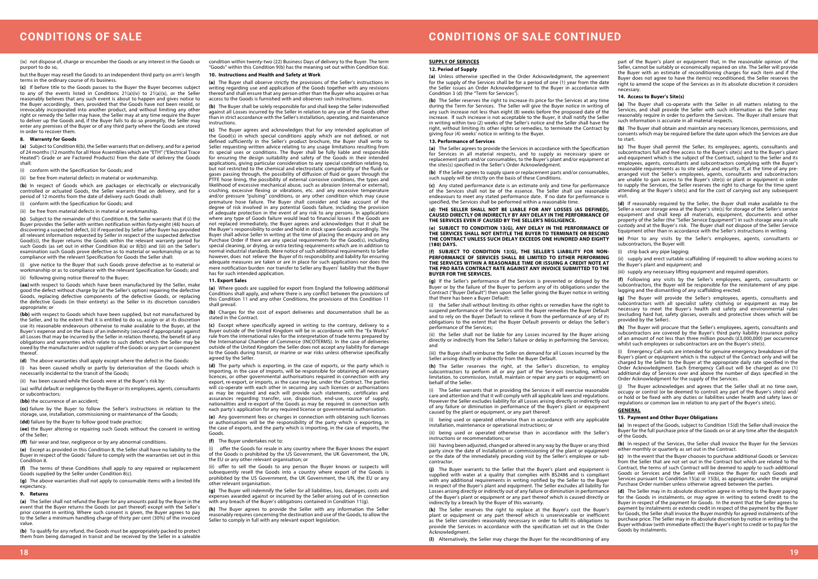# **CONDITIONS OF SALE**

(ix) not dispose of, charge or encumber the Goods or any interest in the Goods or purport to do so,

but the Buyer may resell the Goods to an independent third party on arm's length terms in the ordinary course of its business.

**(c)** If before title to the Goods passes to the Buyer the Buyer becomes subject to any of the events listed in Conditions 21(a)(iv) to 21(a)(x), or the Seller reasonably believes that any such event is about to happen and gives notice to the Buyer accordingly, then, provided that the Goods have not been resold, or irrevocably incorporated into another product, and without limiting any other right or remedy the Seller may have, the Seller may at any time require the Buyer to deliver up the Goods and, if the Buyer fails to do so promptly, the Seller may enter any premises of the Buyer or of any third party where the Goods are stored in order to recover them.

### **8. Warranty for Goods**

**(a)** Subject to Condition 8(b), the Seller warrants that on delivery, and for a period of 24 months (12 months for all Hose Assemblies which are "ETH" ("Electrical Trace Heated") Grade or are Factored Products) from the date of delivery the Goods shall:

(i) conform with the Specification for Goods; and

(ii) be free from material defects in material or workmanship.

**(b)** In respect of Goods which are packages or electrically or electronically controlled or actuated Goods, the Seller warrants that on delivery, and for a period of 12 months from the date of delivery such Goods shall:

(i) conform with the Specification for Goods; and

(ii) be free from material defects in material or workmanship.

**(cc)** failure by the Buyer to follow the Seller's instructions in relation to the storage, use, installation, commissioning or maintenance of the Goods;

**(c)** Subject to the remainder of this Condition 8, the Seller warrants that if (i) the Buyer provides the Seller with written notification within forty-eight (48) hours of discovering a suspected defect, (ii) if requested by Seller (after Buyer has provided all relevant information requested by Seller in respect of the suspected defective Good(s)), the Buyer returns the Goods within the relevant warranty period for such Goods (as set out in either Condition 8(a) or 8(b)) and (iii) on the Seller's examination such Goods prove defective as to material or workmanship or as to compliance with the relevant Specification for Goods the Seller shall:

(i) give notice to the Buyer that such Goods prove defective as to material or workmanship or as to compliance with the relevant Specification for Goods; and (ii) following giving notice thereof to the Buyer;

condition within twenty-two (22) Business Days of delivery to the Buyer. The term Goods" within this Condition  $9(b)$  has the meaning set out within Condition 6(a).

**(aa)** with respect to Goods which have been manufactured by the Seller, make good the defect without charge by (at the Seller's option) repairing the defective Goods, replacing defective components of the defective Goods, or replacing the defective Goods (in their entirety) as the Seller in its discretion considers appropriate; or

**(bb)** with respect to Goods which have been supplied, but not manufactured by the Seller, and to the extent that it is entitled to do so, assign or at its discretion use its reasonable endeavours otherwise to make available to the Buyer, at the Buyer's expense and on the basis of an indemnity (secured if appropriate) against all Losses that may be incurred by the Seller in relation thereto, the benefit of any obligations and warranties which relate to such defect which the Seller may be owed by the manufacturer and/or supplier of the Goods or any part or component thereof.

**(d)** The above warranties shall apply except where the defect in the Goods:

(i) has been caused wholly or partly by deterioration of the Goods which is necessarily incidental to the transit of the Goods;

(ii) has been caused while the Goods were at the Buyer's risk by:

(aa) wilful default or negligence by the Buyer or its employees, agents, consultants or subcontractors;

**(bb)** the occurrence of an accident;

**(dd)** failure by the Buyer to follow good trade practice;

**(ee)** the Buyer altering or repairing such Goods without the consent in writing of the Seller;

**(ff)** fair wear and tear, negligence or by any abnormal conditions.

**(c)** Except where specifically agreed in writing to the contrary, delivery to a Buyer outside of the United Kingdom will be in accordance with the "Ex Works" rule from the international rules for the interpretation of trade terms prepared by the International Chamber of Commerce (INCOTERMS). In the case of deliveries outside of the United Kingdom the Seller does not accept any liability for damage to the Goods during transit, or marine or war risks unless otherwise specifically agreed by the Seller

**(e)** Except as provided in this Condition 8, the Seller shall have no liability to the Buyer in respect of the Goods' failure to comply with the warranties set out in this Condition 8.

**(f)** The terms of these Conditions shall apply to any repaired or replacement Goods supplied by the Seller under Condition 8(c).

**(g)** The above warranties shall not apply to consumable items with a limited life expectancy.

# **9. Returns**

**(a)** The Seller shall not refund the Buyer for any amounts paid by the Buyer in the event that the Buyer returns the Goods (or part thereof) except with the Seller's prior consent in writing. Where such consent is given, the Buyer agrees to pay to the Seller a minimum handling charge of thirty per cent (30%) of the invoiced value.

**(b)** To qualify for any refund, the Goods must be appropriately packed to protect them from being damaged in transit and be received by the Seller in a saleable

offer the Goods for resale in any country where the Buyer knows the export of the Goods is prohibited by the US Government, the UK Government, the UN, the EU or any other relevant organisation; or

# **10. Instructions and Health and Safety at Work**

**(a)** The Buyer shall observe strictly the provisions of the Seller's instructions in writing regarding use and application of the Goods together with any revisions thereof and shall ensure that any person other than the Buyer who acquires or has access to the Goods is furnished with and observes such instructions.

**(b)** The Buyer shall be solely responsible for and shall keep the Seller indemnified against all Losses incurred by the Seller in relation to any use of the Goods other than in strict accordance with the Seller's installation, operating, and maintenance instructions.

**(c)** The Buyer agrees and acknowledges that for any intended application of the Good(s) in which special conditions apply which are not defined, or not defined sufficiently in the Seller's product brochure, the Buyer shall write to Seller requesting written advice relating to any usage limitations resulting from its special uses or conditions. The Buyer shall be fully liable and responsible for ensuring the design suitability and safety of the Goods in their intended applications, giving particular consideration to any special condition relating to, but not restricted to the chemical and electrostatic compatibility of the fluids or gases passing through, the possibility of diffusion of fluid or gases through the PTFE hose lining, the possibility of external corrosive conditions, the types and likelihood of excessive mechanical abuse, such as abrasion (internal or external), crushing, excessive flexing or vibrations, etc. and any excessive temperature and/or pressure "pulsing" conditions, or any other condition which may cause premature hose failure. The Buyer shall consider and take account of the degree of risk involved in any potential Goods failure, including the provision of adequate protection in the event of any risk to any persons. In applications where any type of Goods failure would lead to financial losses if the Goods are not replaced immediately, the Buyer agrees and acknowledges that it shall be the Buyer's responsibility to order and hold in stock spare Goods accordingly. The Buyer shall advise Seller in writing at the time of placing the enquiry and on any Purchase Order if there are any special requirements for the Good(s), including special cleaning, or drying, or extra testing requirements which are in addition to normal industrial standards. Mere notice of such additional requirements to Seller however, does not relieve the Buyer of its responsibility and liability for ensuring adequate measures are taken or are in place for such applications nor does the mere notification burden nor transfer to Seller any Buyers' liability that the Buyer has for such intended application.

### **11. Export Sales**

**(a)** Where goods are supplied for export from England the following additional Conditions shall apply, and where there is any conflict between the provisions of this Condition 11 and any other Conditions, the provisions of this Condition 11 shall prevail.

**(b)** Charges for the cost of export deliveries and documentation shall be as stated in the Contract.

**(d)** The party which is exporting, in the case of exports, or the party which is importing, in the case of imports, will be responsible for obtaining all necessary licences, or other governmental authorisations required in connection with any export, re-export, or imports, as the case may be, under the Contract. The parties will co-operate with each other in securing any such licenses or authorisations as may be required and each will provide such statements, certificates and assurances regarding transfer, use, disposition, end-use, source of supply, nationalities and re-export of the Goods as may be required in connection with each party's application for any required license or governmental authorisation.

**(e)** Any government fees or charges in connection with obtaining such licenses or authorisations will be the responsibility of the party which is exporting, in the case of exports, and the party which is importing, in the case of imports, the Goods.

### **(f)** The Buyer undertakes not to:

(ii) offer to sell the Goods to any person the Buyer knows or suspects will subsequently resell the Goods into a country where export of the Goods is prohibited by the US Government, the UK Government, the UN, the EU or any other relevant organisation.

**(g)** The Buyer will indemnify the Seller for all liabilities, loss, damages, costs and expenses awarded against or incurred by the Seller arising out of in connection with any breach of the Buyer's obligations contained in Condition 11(g).

**(h)** The Buyer agrees to provide the Seller with any information the Seller reasonably requires concerning the destination and use of the Goods, to allow the Seller to comply in full with any relevant export legislation.

# **SUPPLY OF SERVICES**

#### **12. Period of Supply**

**(a)** Unless otherwise specified in the Order Acknowledgment, the agreement for the supply of the Services shall be for a period of one (1) year from the date the Seller issues an Order Acknowledgement to the Buyer in accordance with Condition 3 (d) (the "Term for Services").

**(b)** The Seller reserves the right to increase its price for the Services at any time during the Term for Services. The Seller will give the Buyer notice in writing of any such increase not less than eight (8) weeks before the proposed date of the increase. If such increase is not acceptable to the Buyer, it shall notify the Seller in writing within two (2) weeks of the Seller's notice and the Seller shall have the right, without limiting its other rights or remedies, to terminate the Contract by giving four (4) weeks' notice in writing to the Buyer.

### **13. Performance of Services**

**(a)** The Seller agrees to provide the Services in accordance with the Specification for Services in all material respects, and to supply as necessary spare or replacement parts and/or consumables, to the Buyer's plant and/or equipment at the sites(s) specified in the Seller's Order Acknowledgment. **(b)** If the Seller agrees to supply spare or replacement parts and/or consumables, such supply will be strictly on the basis of these Conditions. **(c)** Any stated performance date is an estimate only and time for performance of the Services shall not be of the essence. The Seller shall use reasonable

endeavours to meet any stated performance date. If no date for performance is specified, the Services shall be performed within a reasonable time.

**(d) THE SELLER SHALL NOT BE LIABLE FOR ANY LOSSES (AS DEFINED), CAUSED DIRECTLY OR INDIRECTLY BY ANY DELAY IN THE PERFORMANCE OF THE SERVICES EVEN IF CAUSED BY THE SELLER'S NEGLIGENCE.** 

**(e) SUBJECT TO CONDITION 13(G), ANY DELAY IN THE PERFORMANCE OF THE SERVICES SHALL NOT ENTITLE THE BUYER TO TERMINATE OR RESCIND THE CONTRACT UNLESS SUCH DELAY EXCEEDS ONE HUNDRED AND EIGHTY (180) DAYS.** 

**(g)** If the Seller's performance of the Services is prevented or delayed by the Buyer or by the failure of the Buyer to perform any of its obligations under the Contract ("Buyer Default") then upon the Seller giving the Buyer notice in writing that there has been a Buyer Default:

(i) the Seller shall without limiting its other rights or remedies have the right to suspend performance of the Services until the Buyer remedies the Buyer Default and to rely on the Buyer Default to relieve it from the performance of any of its obligations to the extent that the Buyer Default prevents or delays the Seller's performance of the Services;

(ii) the Seller shall not be liable for any Losses incurred by the Buyer arising directly or indirectly from the Seller's failure or delay in performing the Services; and

(iii) the Buyer shall reimburse the Seller on demand for all Losses incurred by the Seller arising directly or indirectly from the Buyer Default.

**(h)** The Seller reserves the right, at the Seller's discretion, to employ subcontractors to perform all or any part of the Services (including, without limitation, to commission, install, maintain or repair any parts or equipment) on behalf of the Seller.

(i) The Seller warrants that in providing the Services it will exercise reasonable care and attention and that it will comply with all applicable laws and regulations. However the Seller excludes liability for all Losses arising directly or indirectly out of any failure or diminution in performance of the Buyer's plant or equipment caused by the plant or equipment, or any part thereof:

(i) being used or operated otherwise than in accordance with any applicable installation, maintenance or operational instructions; or

(ii) being used or operated otherwise than in accordance with the Seller's instructions or recommendations; or

(iii) having been adjusted, changed or altered in any way by the Buyer or any third party since the date of installation or commissioning of the plant or equipment or the date of the immediately preceding visit by the Seller's employee or subcontractor.

**(j)** The Buyer warrants to the Seller that the Buyer's plant and equipment is supplied with water at a quality that complies with BS2486 and is compliant with any additional requirements in writing notified by the Seller to the Buyer in respect of the Buyer's plant and equipment. The Seller excludes all liability for Losses arising directly or indirectly out of any failure or diminution in performance of the Buyer's plant or equipment or any part thereof which is caused directly or indirectly by a breach by the Buyer of this warranty.

**(f) SUBJECT TO CONDITION 13(G), THE SELLER'S LIABILITY FOR NON-PERFORMANCE OF SERVICES SHALL BE LIMITED TO EITHER PERFORMING THE SERVICES WITHIN A REASONABLE TIME OR ISSUING A CREDIT NOTE AT THE PRO RATA CONTRACT RATE AGAINST ANY INVOICE SUBMITTED TO THE BUYER FOR THE SERVICES.**  (i) strip back any pipe lagging; (ii) supply and erect suitable scaffolding (if required) to allow working access to the Buyer's plant and equipment; and (iii) supply any necessary lifting equipment and required operators.

**(k)** The Seller reserves the right to replace at the Buyer's cost the Buyer's plant or equipment or any part thereof which is unserviceable or inefficient as the Seller considers reasonably necessary in order to fulfil its obligations to provide the Services in accordance with the specification set out in the Order Acknowledgment.

**(l)** Alternatively, the Seller may charge the Buyer for the reconditioning of any

part of the Buyer's plant or equipment that, in the reasonable opinion of the Seller, cannot be suitably or economically repaired on site. The Seller will provide the Buyer with an estimate of reconditioning charges for each item and if the Buyer does not agree to have the item(s) reconditioned, the Seller reserves the right to amend the scope of the Services as in its absolute discretion it considers necessary.

# **14. Access to Buyer's Site(s)**

**(a)** The Buyer shall co-operate with the Seller in all matters relating to the Services, and shall provide the Seller with such information as the Seller may reasonably require in order to perform the Services. The Buyer shall ensure that such information is accurate in all material respects.

**(b)** The Buyer shall obtain and maintain any necessary licences, permissions, and consents which may be required before the date upon which the Services are due to start.

**(c)** The Buyer shall permit the Seller, its employees, agents, consultants and subcontractors full and free access to the Buyer's site(s) and to the Buyer's plant and equipment which is the subject of the Contract, subject to the Seller and its employees, agents, consultants and subcontractors complying with the Buyer's reasonable requirements as to site safety and security. If, at the time of any prearranged visit the Seller's employees, agents, consultants and subcontractors are unable to gain access to the Buyer's site(s) or plant or equipment in order to supply the Services, the Seller reserves the right to charge for the time spent attending at the Buyer's site(s) and for the cost of carrying out any subsequent visit.

> **(d)** If reasonably required by the Seller, the Buyer shall make available to the Seller a secure storage area at the Buyer's site(s) for storage of the Seller's service equipment and shall keep all materials, equipment, documents and other property of the Seller (the "Seller Service Equipment") in such storage area in safe custody and at the Buyer's risk. The Buyer shall not dispose of the Seller Service Equipment other than in accordance with the Seller's instructions in writing.

> **(e)** Prior to any visits by the Seller's employees, agents, consultants or subcontractors, the Buyer will:

**(f)** Following any visits by the Seller's employees, agents, consultants or subcontractors, the Buyer will be responsible for the reinstatement of any pipe lagging and the dismantling of any scaffolding erected.

**(g)** The Buyer will provide the Seller's employees, agents, consultants and subcontractors with all specialist safety clothing or equipment as may be necessary to meet the Buyer's health and safety and environmental rules (excluding hard hat, safety glasses, overalls and protective shoes which will be provided by the Seller).

**(h)** The Buyer will procure that the Seller's employees, agents, consultants and subcontractors are covered by the Buyer's third party liability insurance policy of an amount of not less than three million pounds  $(F3,000,000)$  per occurrence whilst such employees or subcontractors are on the Buyer's site(s).

(i) Emergency Call-outs are intended for genuine emergency breakdown of the Buyer's plant or equipment which is the subject of the Contract only and will be charged by the Seller to the Buyer at the appropriate daily rate specified in the Order Acknowledgment. Each Emergency Call-out will be charged as one (1) additional day of Services over and above the number of days specified in the Order Acknowledgment for the supply of the Services.

(j) The Buyer acknowledges and agrees that the Seller shall at no time own, occupy or control (or be deemed to control) any part of the Buyer's site(s) and/ or hold or be fixed with any duties or liabilities under health and safety laws or regulations or common law in relation to any part of the Buyer's site(s).

# **GENERAL**

# **15. Payment and Other Buyer Obligations**

**(a)** In respect of the Goods, subject to Condition 15(d) the Seller shall invoice the Buyer for the full purchase price of the Goods on or at any time after the despatch of the Goods.

**(b)** In respect of the Services, the Seller shall invoice the Buyer for the Services either monthly or quarterly as set out in the Contract.

**(c)** In the event that the Buyer chooses to purchase additional Goods or Services from the Seller that are not set out in the Contract but which are related to the Contract, the terms of such Contract will be deemed to apply to such additional Goods or Services and the Seller will invoice the Buyer for such Goods and Services pursuant to Condition 15(a) or 15(b), as appropriate, under the original Purchase Order number unless otherwise agreed between the parties.

**(d)** The Seller may in its absolute discretion agree in writing to the Buyer paying for the Goods in instalments, or may agree in writing to extend credit to the Buyer in respect of the payment for Goods. In the event that the Seller agrees to payment by instalments or extends credit in respect of the payment by the Buyer for Goods, the Seller shall invoice the Buyer monthly for agreed instalments of the purchase price. The Seller may in its absolute discretion by notice in writing to the Buyer withdraw (with immediate effect) the Buyer's right to credit or to pay for the Goods by instalments.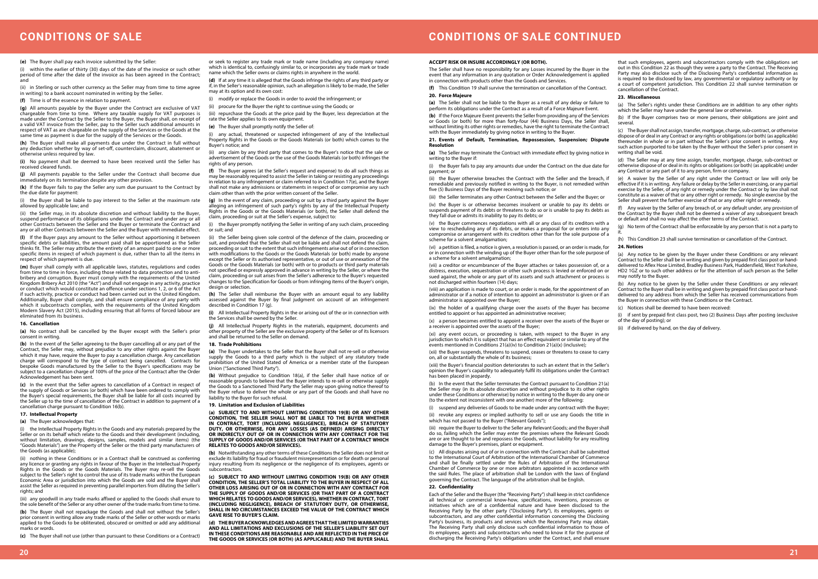# **CONDITIONS OF SALE CONTINUED**

**(e)** The Buyer shall pay each invoice submitted by the Seller:

(i) within the earlier of thirty (30) days of the date of the invoice or such other period of time after the date of the invoice as has been agreed in the Contract; and

(ii) in Sterling or such other currency as the Seller may from time to time agree in writing) to a bank account nominated in writing by the Seller.

**(f)** Time is of the essence in relation to payment.

**(g)** All amounts payable by the Buyer under the Contract are exclusive of VAT chargeable from time to time. Where any taxable supply for VAT purposes is made under the Contract by the Seller to the Buyer, the Buyer shall, on receipt of a valid VAT invoice from the Seller, pay to the Seller such additional amounts in respect of VAT as are chargeable on the supply of the Services or the Goods at the same time as payment is due for the supply of the Services or the Goods.

(ii) the Seller may, in its absolute discretion and without liability to the Buyer suspend performance of its obligations under the Contract and under any or all other Contracts between the Seller and the Buyer or terminate the Contract and any or all other Contracts between the Seller and the Buyer with immediate effect.

**(h)** The Buyer shall make all payments due under the Contract in full without any deduction whether by way of set-off, counterclaim, discount, abatement or otherwise unless required by law.

**(i)** No payment shall be deemed to have been received until the Seller has received cleared funds.

**(j)** All payments payable to the Seller under the Contract shall become due immediately on its termination despite any other provision.

**(k)** If the Buyer fails to pay the Seller any sum due pursuant to the Contract by the due date for payment:

(i) the Buyer shall be liable to pay interest to the Seller at the maximum rate allowed by applicable law; and

(i) the Intellectual Property Rights in the Goods and any materials prepared by the Seller or on its behalf which relate to the Goods and their development (including, without limitation, drawings, designs, samples, models and similar items) (the "Goods Materials") are the Property of the Seller or the third party manufacturers of the Goods (as applicable);

**(l)** If the Buyer pays any amount to the Seller without apportioning it between specific debts or liabilities, the amount paid shall be apportioned as the Seller thinks fit. The Seller may attribute the entirety of an amount paid to one or more specific items in respect of which payment is due, rather than to all the items in respect of which payment is due.

**(m)** Buyer shall comply with all applicable laws, statutes, regulations and codes from time to time in force, including those related to data protection and to antibribery and corruption. Buyer must comply with the requirements of the United Kingdom Bribery Act 2010 (the "Act") and shall not engage in any activity, practice or conduct which would constitute an offence under sections 1, 2, or 6 of the Act if such activity, practice or conduct had been carried out in the United Kingdom. Additionally, Buyer shall comply, and shall ensure compliance of any party with which it subcontracts complies, with the requirements of the United Kingdom Modern Slavery Act (2015), including ensuring that all forms of forced labour are eliminated from its business.

#### **16. Cancellation**

(iii) repurchase the Goods at the price paid by the Buyer, less depreciation at the rate the Seller applies to its own equipment

**(a)** No contract shall be cancelled by the Buyer except with the Seller's prior consent in writing.

**(b)** In the event of the Seller agreeing to the Buyer cancelling all or any part of the Contract, the Seller may, without prejudice to any other rights against the Buyer which it may have, require the Buyer to pay a cancellation charge. Any cancellation charge will correspond to the type of contract being cancelled. Contracts for bespoke Goods manufactured by the Seller to the Buyer's specifications may be subject to a cancellation charge of 100% of the price of the Contract after the Order Acknowledgement has been sent.

(ii) the Seller being given sole control of the defence of the claim, proceeding or suit, and provided that the Seller shall not be liable and shall not defend the claim, proceeding or suit to the extent that such infringements arise out of or in connection with modifications to the Goods or the Goods Materials (or both) made by anyone except the Seller or its authorised representative, or out of use or annexation of the Goods or the Goods Materials (or both) with or to products or third party materials not specified or expressly approved in advance in writing by the Seller, or where the claim, proceeding or suit arises from the Seller's adherence to the Buyer's requested changes to the Specification for Goods or from infringing items of the Buyer's origin, design or selection.

**(c)** In the event that the Seller agrees to cancellation of a Contract in respect of the supply of Goods or Services (or both) which have been ordered to comply with the Buyer's special requirements, the Buyer shall be liable for all costs incurred by the Seller up to the time of cancellation of the Contract in addition to payment of a cancellation charge pursuant to Condition 16(b).

# **17. Intellectual Property**

**(a)** The Buyer acknowledges that:

(ii) nothing in these Conditions or in a Contract shall be construed as conferring any licence or granting any rights in favour of the Buyer in the Intellectual Property Rights in the Goods or the Goods Materials. The Buyer may re-sell the Goods subject to the Seller's right to control the use of its trade marks within the European Economic Area or jurisdiction into which the Goods are sold and the Buyer shall assist the Seller as required in preventing parallel importers from diluting the Seller's rights; and

(iii) any goodwill in any trade marks affixed or applied to the Goods shall enure to the sole benefit of the Seller or any other owner of the trade marks from time to time.

**(b)** The Buyer shall not repackage the Goods and shall not without the Seller's prior consent in writing allow any trade marks of the Seller or other words or marks applied to the Goods to be obliterated, obscured or omitted or add any additional marks or words.

**(c)** The Buyer shall not use (other than pursuant to these Conditions or a Contract)

or seek to register any trade mark or trade name (including any company name) which is identical to, confusingly similar to, or incorporates any trade mark or trade name which the Seller owns or claims rights in anywhere in the world.

**(d)** If at any time it is alleged that the Goods infringe the rights of any third party or if, in the Seller's reasonable opinion, such an allegation is likely to be made, the Seller may at its option and its own cost:

(i) modify or replace the Goods in order to avoid the infringement; or

(i) the Buyer fails to pay any amounts due under the Contract on the due date for payment; or

(ii) procure for the Buyer the right to continue using the Goods; or

**(e)** The Buyer shall promptly notify the Seller of:

(i) any actual, threatened or suspected infringement of any of the Intellectual Property Rights in the Goods or the Goods Materials (or both) which comes to the Buyer's notice; and

(ii) any claim by any third party that comes to the Buyer's notice that the sale or advertisement of the Goods or the use of the Goods Materials (or both) infringes the rights of any person.

**(f)** The Buyer agrees (at the Seller's request and expense) to do all such things as may be reasonably required to assist the Seller in taking or resisting any proceedings in relation to any infringement or claim referred to in Condition 17(e), and the Buyer shall not make any admissions or statements in respect of or compromise any such claim other than with the prior written consent of the Seller.

**(g)** In the event of any claim, proceeding or suit by a third party against the Buyer leging an infringement of such party's rights by any of the Intellectual Property Rights in the Goods or the Goods Materials (or both), the Seller shall defend the claim, proceeding or suit at the Seller's expense, subject to:

(i) the Buyer promptly notifying the Seller in writing of any such claim, proceeding or suit; and

> (i) suspend any deliveries of Goods to be made under any contract with the Buyer; (ii) revoke any express or implied authority to sell or use any Goods the title in which has not passed to the Buyer ("Relevant Goods");

**(h)** The Seller shall reimburse the Buyer with an amount equal to any liability assessed against the Buyer by final judgment on account of an infringement described in Condition 17 (g).

**(i)** All Intellectual Property Rights in the or arising out of the or in connection with the Services shall be owned by the Seller.

(a) The Seller's rights under these Conditions are in addition to any other rights which the Seller may have under the general law or otherwise

**(j)** All Intellectual Property Rights in the materials, equipment, documents and other property of the Seller are the exclusive property of the Seller or of its licensors and shall be returned to the Seller on demand.

#### **18. Trade Prohibitions**

(e) A waiver by the Seller of any right under the Contract or law will only be effective if it is in writing. Any failure or delay by the Seller in exercising, or any partial exercise by the Seller, of any right or remedy under the Contract or by law shall not constitute as a waiver of that or any other right or remedy. No single exercise by the Seller shall prevent the further exercise of that or any other right or remedy.

**(a)** The Buyer undertakes to the Seller that the Buyer shall not re-sell or otherwise supply the Goods to a third party which is the subject of any statutory trade prohibition of the United Stated of America or a member state of the European Union ("Sanctioned Third Party").

**(b)** Without prejudice to Condition 18(a), if the Seller shall have notice of or reasonable grounds to believe that the Buyer intends to re-sell or otherwise supply the Goods to a Sanctioned Third Party the Seller may upon giving notice thereof to the Buyer refuse to deliver the whole or any part of the Goods and shall have no liability to the Buyer for such refusal.

#### **19. Limitation and Exclusion of Liabilities**

**(a) SUBJECT TO AND WITHOUT LIMITING CONDITION 19(B) OR ANY OTHER CONDITION, THE SELLER SHALL NOT BE LIABLE TO THE BUYER WHETHER IN CONTRACT, TORT (INCLUDING NEGLIGENCE), BREACH OF STATUTORY DUTY, OR OTHERWISE, FOR ANY LOSSES (AS DEFINED) ARISING DIRECTLY OR INDIRECTLY OUT OF OR IN CONNECTION WITH ANY CONTRACT FOR THE SUPPLY OF GOODS AND/OR SERVICES (OR THAT PART OF A CONTRACT WHICH RELATES TO GOODS AND/OR SERVICES).**

**(b)** Notwithstanding any other terms of these Conditions the Seller does not limit or exclude its liability for fraud or fraudulent misrepresentation or for death or personal injury resulting from its negligence or the negligence of its employees, agents or subcontractors.

**(c) SUBJECT TO AND WITHOUT LIMITING CONDITION 19(B) OR ANY OTHER CONDITION, THE SELLER'S TOTAL LIABILITY TO THE BUYER IN RESPECT OF ALL OTHER LOSS ARISING OUT OF OR IN CONNECTION WITH ANY CONTRACT FOR THE SUPPLY OF GOODS AND/OR SERVICES (OR THAT PART OF A CONTRACT WHICH RELATES TO GOODS AND/OR SERVICES), WHETHER IN CONTRACT, TORT (INCLUDING NEGLIGENCE), BREACH OF STATUTORY DUTY, OR OTHERWISE, SHALL IN NO CIRCUMSTANCES EXCEED THE VALUE OF THE CONTRACT WHICH GAVE RISE TO BUYER'S CLAIM.**

**(d) THE BUYER ACKNOWLEDGES AND AGREES THAT THE LIMITED WARRANTIES AND ALL LIMITATIONS AND EXCLUSIONS OF THE SELLER'S LIABILITY SET OUT IN THESE CONDITIONS ARE REASONABLE AND ARE REFLECTED IN THE PRICE OF THE GOODS OR SERVICES (OR BOTH) (AS APPLICABLE) AND THE BUYER SHALL** 

**20. Force Majeure**

**(a)** The Seller shall not be liable to the Buyer as a result of any delay or failure to perform its obligations under the Contract as a result of a Force Majeure Event.

#### **21. Events of Default, Termination, Repossession, Suspension; Dispute Resolution**

**(a)** The Seller may terminate the Contract with immediate effect by giving notice in writing to the Buyer if:

(ii) the Buyer otherwise breaches the Contract with the Seller and the breach, if remediable and previously notified in writing to the Buyer, is not remedied within five (5) Business Days of the Buyer receiving such notice; or

(iii) the Seller terminates any other Contract between the Seller and the Buyer; or

(iv) the Buyer is or otherwise becomes insolvent or unable to pay its debts or suspends payment of its debts or threatens to do so or is unable to pay its debts as they fall due or admits its inability to pay its debts; or

(vi) a petition is filed, a notice is given, a resolution is passed, or an order is made, for or in connection with the winding up of the Buyer other than for the sole purpose of a scheme for a solvent amalgamation;

(vii) a creditor or encumbrancer of the Buyer attaches or takes possession of, or a distress, execution, sequestration or other such process is levied or enforced on or sued against, the whole or any part of its assets and such attachment or process is not discharged within fourteen (14) days;

(ix) the holder of a qualifying charge over the assets of the Buyer has become entitled to appoint or has appointed an administrative receiver;

(x) a person becomes entitled to appoint a receiver over the assets of the Buyer or a receiver is appointed over the assets of the Buyer;

**ACCEPT RISK OR INSURE ACCORDINGLY (OR BOTH).** The Seller shall have no responsibility for any Losses incurred by the Buyer in the event that any information in any quotation or Order Acknowledgement is applied in connection with products other than the Goods and Services. **(f)** This Condition 19 shall survive the termination or cancellation of the Contract. that such employees, agents and subcontractors comply with the obligations set out in this Condition 22 as though they were a party to the Contract. The Receiving Party may also disclose such of the Disclosing Party's confidential information as is required to be disclosed by law, any governmental or regulatory authority or by a court of competent jurisdiction. This Condition 22 shall survive termination or cancellation of the Contract.

(xi) any event occurs, or proceeding is taken, with respect to the Buyer in any jurisdiction to which it is subject that has an effect equivalent or similar to any of the events mentioned in Conditions 21(a)(iv) to Condition 21(a)(x) (inclusive);

(xii) the Buyer suspends, threatens to suspend, ceases or threatens to cease to carry on, all or substantially the whole of its business;

**(b)** If the Force Majeure Event prevents the Seller from providing any of the Services or Goods (or both) for more than forty-four (44) Business Days, the Seller shall, without limiting its other rights or remedies, have the right to terminate the Contract with the Buyer immediately by giving notice in writing to the Buyer. (b) If the Buyer comprises two or more persons, their obligations are joint and several.

(xiii) the Buyer's financial position deteriorates to such an extent that in the Seller's opinion the Buyer's capability to adequately fulfil its obligations under the Contract has been placed in jeopardy.

(b) In the event that the Seller terminates the Contract pursuant to Condition 21(a) the Seller may (in its absolute discretion and without prejudice to its other rights under these Conditions or otherwise) by notice in writing to the Buyer do any one or (to the extent not inconsistent with one another) more of the following:

(iii) require the Buyer to deliver to the Seller any Relevant Goods; and the Buyer shall do so, failing which the Seller may enter the premises where the Relevant Goods are or are thought to be and repossess the Goods, without liability for any resulting damage to the Buyer's premises, plant or equipment.

(c) All disputes arising out of or in connection with the Contract shall be submitted to the International Court of Arbitration of the International Chamber of Commerce and shall be finally settled under the Rules of Arbitration of the International Chamber of Commerce by one or more arbitrators appointed in accordance with the said Rules. The place of arbitration shall be London with the laws of England governing the Contract. The language of the arbitration shall be English.

(v) the Buyer commences negotiations with all or any class of its creditors with a view to rescheduling any of its debts, or makes a proposal for or enters into any compromise or arrangement with its creditors other than for the sole purpose of a scheme for a solvent amalgamation; (g) No term of the Contract shall be enforceable by any person that is not a party to it. (h) This Condition 23 shall survive termination or cancellation of the Contract.

# **22. Confidentiality**

Each of the Seller and the Buyer (the "Receiving Party") shall keep in strict confidence all technical or commercial know-how, specifications, inventions, processes or initiatives which are of a confidential nature and have been disclosed to the Receiving Party by the other party ("Disclosing Party"), its employees, agents or subcontractors, and any other confidential information concerning the Disclosing Party's business, its products and services which the Receiving Party may obtain. The Receiving Party shall only disclose such confidential information to those of its employees, agents and subcontractors who need to know it for the purpose of discharging the Receiving Party's obligations under the Contract, and shall ensure

(viii) an application is made to court, or an order is made, for the appointment of an administrator or if a notice of intention to appoint an administrator is given or if an administrator is appointed over the Buyer; (b) Any notice to be given by the Seller under these Conditions or any relevant Contract to the Buyer shall be in writing and given by prepaid first class post or handdelivered to any address from which the Seller has received communications from the Buyer in connection with these Conditions or the Contract.

# **23. Miscellaneous**

(c) The Buyer shall not assign, transfer, mortgage, charge, sub-contract, or otherwise dispose of or deal in any Contract or any rights or obligations (or both) (as applicable) thereunder in whole or in part without the Seller's prior consent in writing. Any such action purported to be taken by the Buyer without the Seller's prior consent in writing shall be void.

(d) The Seller may at any time assign, transfer, mortgage, charge, sub-contract or otherwise dispose of or deal in its rights or obligations (or both) (as applicable) under any Contract or any part of it to any person, firm or company.

(f) Any waiver by the Seller of any breach of, or any default under, any provision of the Contract by the Buyer shall not be deemed a waiver of any subsequent breach or default and shall no way affect the other terms of the Contract.

# **24. Notices**

(a) Any notice to be given by the Buyer under these Conditions or any relevant Contract to the Seller shall be in writing and given by prepaid first class post or handdelivered to Aflex Hose Limited, Bradley Business Park, Huddersfield, West Yorkshire, HD2 1GZ or to such other address or for the attention of such person as the Seller may notify to the Buyer.

(c) Notices shall be deemed to have been received:

(i) if sent by prepaid first class post, two (2) Business Days after posting (exclusive of the day of posting); or

(ii) if delivered by hand, on the day of delivery.